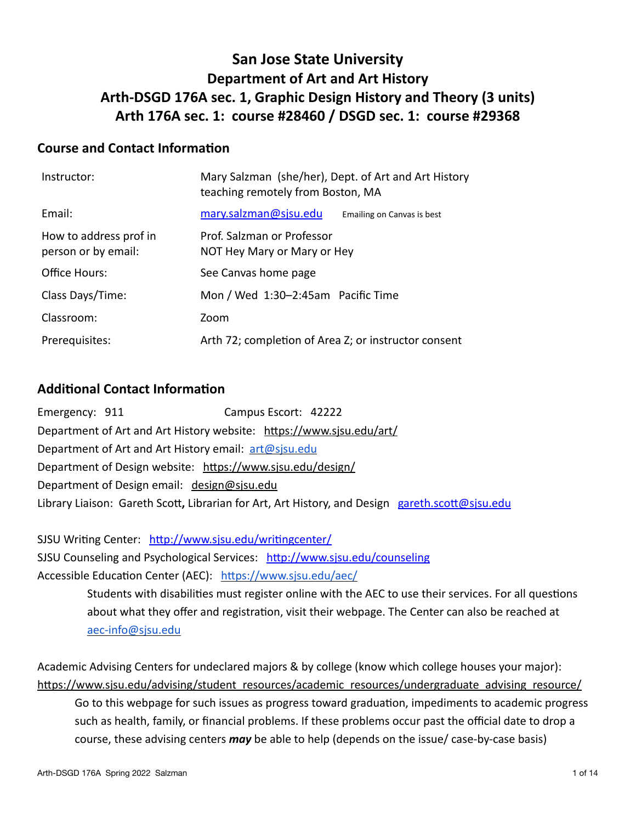## **San Jose State University Department of Art and Art History Arth-DSGD 176A sec. 1, Graphic Design History and Theory (3 units) Arth 176A sec. 1: course #28460 / DSGD sec. 1: course #29368**

### **Course and Contact Information**

| Instructor:                                   | Mary Salzman (she/her), Dept. of Art and Art History<br>teaching remotely from Boston, MA |                            |
|-----------------------------------------------|-------------------------------------------------------------------------------------------|----------------------------|
| Email:                                        | mary.salzman@sjsu.edu                                                                     | Emailing on Canvas is best |
| How to address prof in<br>person or by email: | Prof. Salzman or Professor<br>NOT Hey Mary or Mary or Hey                                 |                            |
| Office Hours:                                 | See Canvas home page                                                                      |                            |
| Class Days/Time:                              | Mon / Wed 1:30-2:45am Pacific Time                                                        |                            |
| Classroom:                                    | Zoom                                                                                      |                            |
| Prerequisites:                                | Arth 72; completion of Area Z; or instructor consent                                      |                            |

### **Additional Contact Information**

Emergency: 911 Campus Escort: 42222 Department of Art and Art History website: <https://www.sjsu.edu/art/> Department of Art and Art History email: [art@sjsu.edu](mailto:art@sjsu.edu) Department of Design website: <https://www.sjsu.edu/design/> Department of Design email: [design@sjsu.edu](mailto:design@sjsu.edu) Library Liaison: Gareth Scot**,** Librarian for Art, Art History, and Design [gareth.scott@sjsu.edu](mailto:gareth.scott@sjsu.edu)

SJSU Writing Center: <http://www.sjsu.edu/writingcenter/> SJSU Counseling and Psychological Services: <http://www.sjsu.edu/counseling> Accessible Education Center (AEC): <https://www.sjsu.edu/aec/> Students with disabilities must register online with the AEC to use their services. For all questions

about what they offer and registration, visit their webpage. The Center can also be reached at [aec-info@sjsu.edu](mailto:aec-info@sjsu.edu)

Academic Advising Centers for undeclared majors & by college (know which college houses your major): [https://www.sjsu.edu/advising/student\\_resources/academic\\_resources/undergraduate\\_advising\\_resource/](https://www.sjsu.edu/advising/student_resources/academic_resources/undergraduate_advising_resource/)

Go to this webpage for such issues as progress toward graduation, impediments to academic progress such as health, family, or financial problems. If these problems occur past the official date to drop a course, these advising centers *may* be able to help (depends on the issue/ case-by-case basis)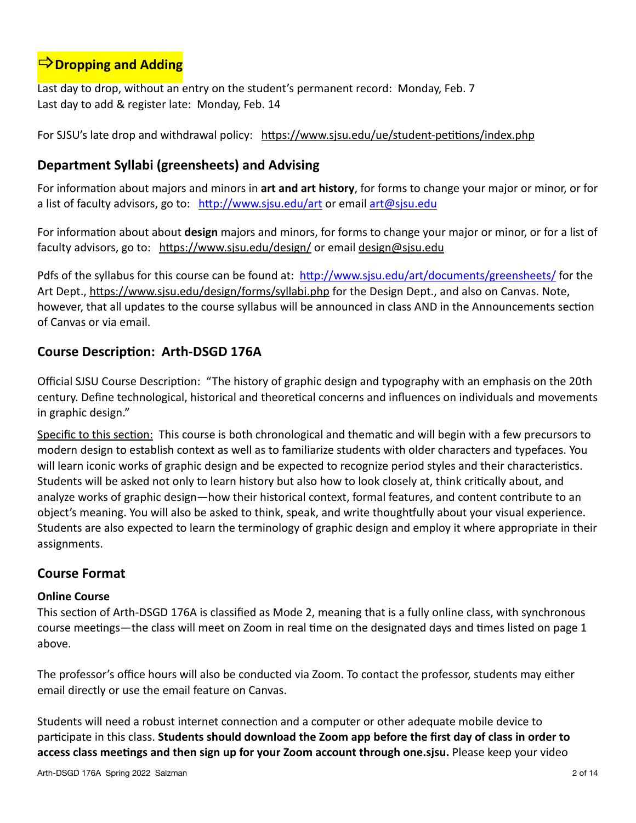# $\Rightarrow$  **Dropping and Adding**

Last day to drop, without an entry on the student's permanent record: Monday, Feb. 7 Last day to add & register late: Monday, Feb. 14

For SJSU's late drop and withdrawal policy: https://www.sjsu.edu/ue/student-petitions/index.php

### **Department Syllabi (greensheets) and Advising**

For information about majors and minors in **art and art history**, for forms to change your major or minor, or for a list of faculty advisors, go to: <http://www.sjsu.edu/art> or email [art@sjsu.edu](http://www.apple.com)

For information about about **design** majors and minors, for forms to change your major or minor, or for a list of faculty advisors, go to: <https://www.sjsu.edu/design/>or email [design@sjsu.edu](mailto:design@sjsu.edu)

Pdfs of the syllabus for this course can be found at: <http://www.sjsu.edu/art/documents/greensheets/> for the Art Dept.,<https://www.sjsu.edu/design/forms/syllabi.php> for the Design Dept., and also on Canvas. Note, however, that all updates to the course syllabus will be announced in class AND in the Announcements section of Canvas or via email.

### **Course Description: Arth-DSGD 176A**

Official SJSU Course Description: "The history of graphic design and typography with an emphasis on the 20th century. Define technological, historical and theoretical concerns and influences on individuals and movements in graphic design."

Specific to this section: This course is both chronological and thematic and will begin with a few precursors to modern design to establish context as well as to familiarize students with older characters and typefaces. You will learn iconic works of graphic design and be expected to recognize period styles and their characteristics. Students will be asked not only to learn history but also how to look closely at, think critically about, and analyze works of graphic design—how their historical context, formal features, and content contribute to an object's meaning. You will also be asked to think, speak, and write thoughtfully about your visual experience. Students are also expected to learn the terminology of graphic design and employ it where appropriate in their assignments.

### **Course Format**

#### **Online Course**

This section of Arth-DSGD 176A is classified as Mode 2, meaning that is a fully online class, with synchronous course meetings—the class will meet on Zoom in real time on the designated days and times listed on page 1 above.

The professor's office hours will also be conducted via Zoom. To contact the professor, students may either email directly or use the email feature on Canvas.

Students will need a robust internet connection and a computer or other adequate mobile device to participate in this class. **Students should download the Zoom app before the first day of class in order to access class meetings and then sign up for your Zoom account through one.sjsu.** Please keep your video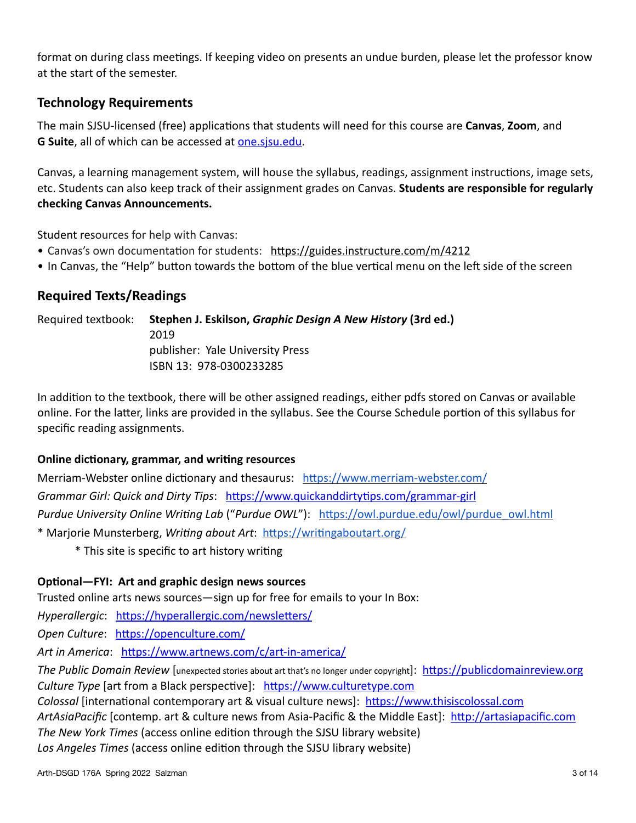format on during class meetings. If keeping video on presents an undue burden, please let the professor know at the start of the semester.

### **Technology Requirements**

The main SJSU-licensed (free) applications that students will need for this course are **Canvas**, **Zoom**, and **G Suite**, all of which can be accessed at [one.sjsu.edu.](http://one.sjsu.edu)

Canvas, a learning management system, will house the syllabus, readings, assignment instructions, image sets, etc. Students can also keep track of their assignment grades on Canvas. **Students are responsible for regularly checking Canvas Announcements.** 

Student resources for help with Canvas:

- Canvas's own documentation for students: <https://guides.instructure.com/m/4212>
- In Canvas, the "Help" button towards the bottom of the blue vertical menu on the left side of the screen

### **Required Texts/Readings**

Required textbook: **Stephen J. Eskilson,** *Graphic Design A New History* **(3rd ed.)** 2019 publisher: Yale University Press ISBN 13: 978-0300233285

In addition to the textbook, there will be other assigned readings, either pdfs stored on Canvas or available online. For the latter, links are provided in the syllabus. See the Course Schedule portion of this syllabus for specific reading assignments.

#### **Online dictionary, grammar, and writing resources**

Merriam-Webster online dictionary and thesaurus: <https://www.merriam-webster.com/> *Grammar Girl: Quick and Dirty Tips*: <https://www.quickanddirtytips.com/grammar-girl> *Purdue University Online Writing Lab* ("*Purdue OWL*"): [https://owl.purdue.edu/owl/purdue\\_owl.html](https://owl.purdue.edu/owl/purdue_owl.html) \* Marjorie Munsterberg, *Writing about Art*: <https://writingaboutart.org/>

\* This site is specific to art history writing

#### **Optional—FYI: Art and graphic design news sources**

Trusted online arts news sources—sign up for free for emails to your In Box:

*Hyperallergic*: <https://hyperallergic.com/newsletters/>

*Open Culture*: <https://openculture.com/>

*Art in America*: <https://www.artnews.com/c/art-in-america/>

*The Public Domain Review* [unexpected stories about art that's no longer under copyright]: <https://publicdomainreview.org> *Culture Type* [art from a Black perspective]: <https://www.culturetype.com>

*Colossal* [international contemporary art & visual culture news]: <https://www.thisiscolossal.com>

*ArtAsiaPacific* [contemp. art & culture news from Asia-Pacific & the Middle East]: <http://artasiapacific.com>

*The New York Times* (access online edition through the SJSU library website)

*Los Angeles Times* (access online edition through the SJSU library website)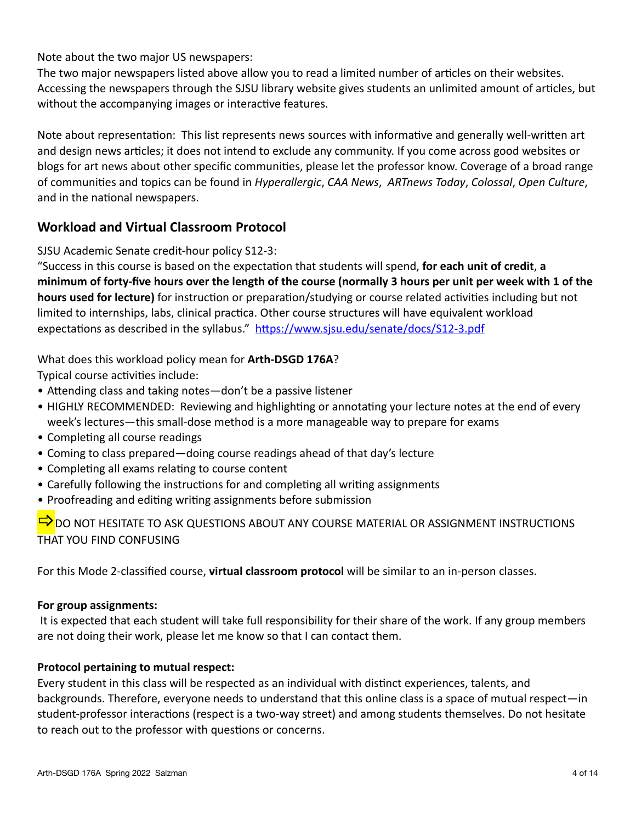Note about the two major US newspapers:

The two major newspapers listed above allow you to read a limited number of articles on their websites. Accessing the newspapers through the SJSU library website gives students an unlimited amount of articles, but without the accompanying images or interactive features.

Note about representation: This list represents news sources with informative and generally well-written art and design news articles; it does not intend to exclude any community. If you come across good websites or blogs for art news about other specific communities, please let the professor know. Coverage of a broad range of communities and topics can be found in *Hyperallergic*, *CAA News*, *ARTnews Today*, *Colossal*, *Open Culture*, and in the national newspapers.

### **Workload and Virtual Classroom Protocol**

SJSU Academic Senate credit-hour policy S12-3:

"Success in this course is based on the expectation that students will spend, **for each unit of credit**, **a minimum of forty-five hours over the length of the course (normally 3 hours per unit per week with 1 of the hours used for lecture)** for instruction or preparation/studying or course related activities including but not limited to internships, labs, clinical practica. Other course structures will have equivalent workload expectations as described in the syllabus." <https://www.sjsu.edu/senate/docs/S12-3.pdf>

### What does this workload policy mean for **Arth-DSGD 176A**?

Typical course activities include:

- Attending class and taking notes—don't be a passive listener
- HIGHLY RECOMMENDED: Reviewing and highlighting or annotating your lecture notes at the end of every week's lectures—this small-dose method is a more manageable way to prepare for exams
- Completing all course readings
- Coming to class prepared—doing course readings ahead of that day's lecture
- Completing all exams relating to course content
- Carefully following the instructions for and completing all writing assignments
- Proofreading and editing writing assignments before submission

 $\Rightarrow$  DO NOT HESITATE TO ASK QUESTIONS ABOUT ANY COURSE MATERIAL OR ASSIGNMENT INSTRUCTIONS THAT YOU FIND CONFUSING

For this Mode 2-classified course, **virtual classroom protocol** will be similar to an in-person classes.

#### **For group assignments:**

 It is expected that each student will take full responsibility for their share of the work. If any group members are not doing their work, please let me know so that I can contact them.

#### **Protocol pertaining to mutual respect:**

Every student in this class will be respected as an individual with distinct experiences, talents, and backgrounds. Therefore, everyone needs to understand that this online class is a space of mutual respect—in student-professor interactions (respect is a two-way street) and among students themselves. Do not hesitate to reach out to the professor with questions or concerns.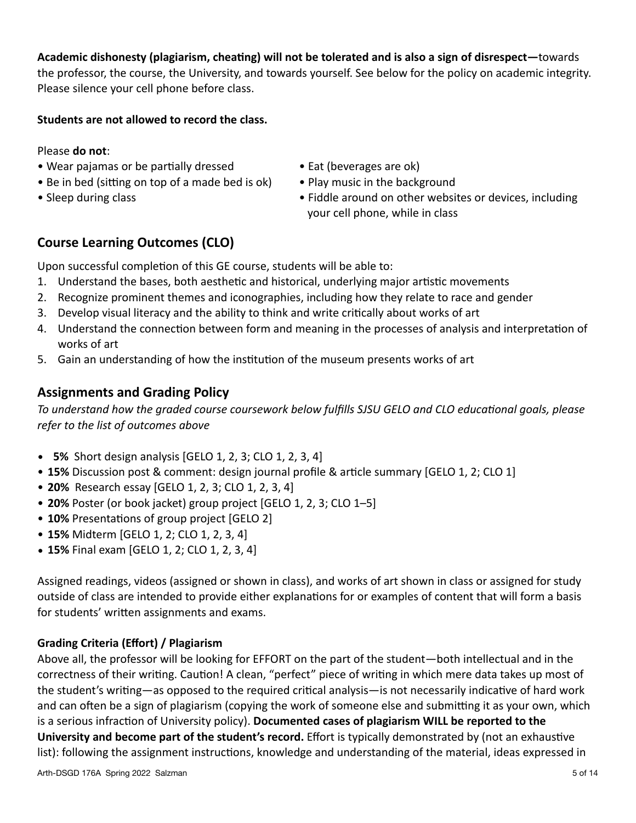### **Academic dishonesty (plagiarism, cheating) will not be tolerated and is also a sign of disrespect—**towards

the professor, the course, the University, and towards yourself. See below for the policy on academic integrity. Please silence your cell phone before class.

#### **Students are not allowed to record the class.**

#### Please **do not**:

- Wear pajamas or be partially dressed Eat (beverages are ok)
- Be in bed (sitting on top of a made bed is ok) Play music in the background
- 
- 
- 
- Sleep during class  **Fiddle around on other websites or devices**, including your cell phone, while in class

### **Course Learning Outcomes (CLO)**

Upon successful completion of this GE course, students will be able to:

- 1. Understand the bases, both aesthetic and historical, underlying major artistic movements
- 2. Recognize prominent themes and iconographies, including how they relate to race and gender
- 3. Develop visual literacy and the ability to think and write critically about works of art
- 4. Understand the connection between form and meaning in the processes of analysis and interpretation of works of art
- 5. Gain an understanding of how the institution of the museum presents works of art

### **Assignments and Grading Policy**

*To understand how the graded course coursework below fulfills SJSU GELO and CLO educational goals, please refer to the list of outcomes above*

- **5%** Short design analysis [GELO 1, 2, 3; CLO 1, 2, 3, 4]
- **15%** Discussion post & comment: design journal profile & article summary [GELO 1, 2; CLO 1]
- **20%** Research essay [GELO 1, 2, 3; CLO 1, 2, 3, 4]
- **20%** Poster (or book jacket) group project [GELO 1, 2, 3; CLO 1–5]
- **10%** Presentations of group project [GELO 2]
- **15%** Midterm [GELO 1, 2; CLO 1, 2, 3, 4]
- **15%** Final exam [GELO 1, 2; CLO 1, 2, 3, 4]

Assigned readings, videos (assigned or shown in class), and works of art shown in class or assigned for study outside of class are intended to provide either explanations for or examples of content that will form a basis for students' written assignments and exams.

#### **Grading Criteria (Effort) / Plagiarism**

Above all, the professor will be looking for EFFORT on the part of the student—both intellectual and in the correctness of their writing. Caution! A clean, "perfect" piece of writing in which mere data takes up most of the student's writing—as opposed to the required critical analysis—is not necessarily indicative of hard work and can often be a sign of plagiarism (copying the work of someone else and submitting it as your own, which is a serious infraction of University policy). **Documented cases of plagiarism WILL be reported to the University and become part of the student's record.** Effort is typically demonstrated by (not an exhaustive list): following the assignment instructions, knowledge and understanding of the material, ideas expressed in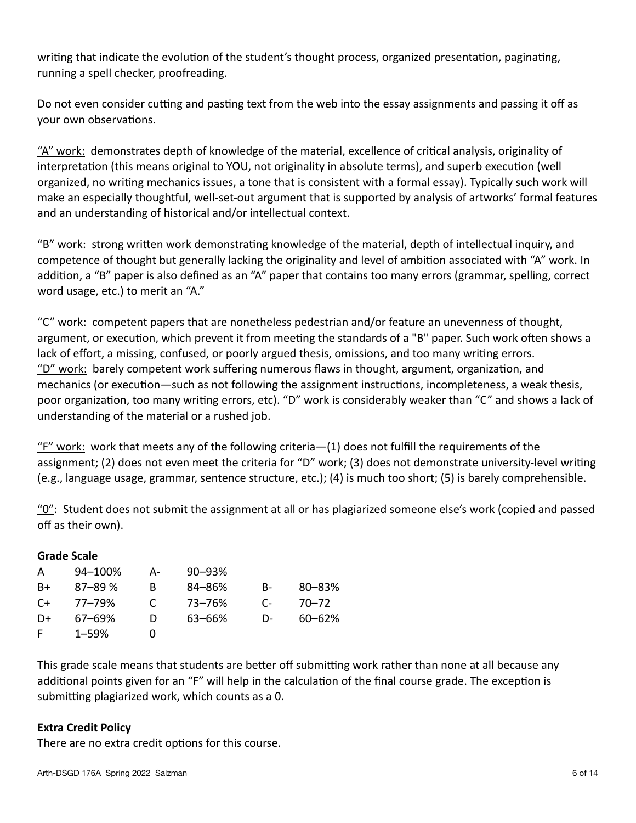writing that indicate the evolution of the student's thought process, organized presentation, paginating, running a spell checker, proofreading.

Do not even consider cutting and pasting text from the web into the essay assignments and passing it off as your own observations.

"A" work: demonstrates depth of knowledge of the material, excellence of critical analysis, originality of interpretation (this means original to YOU, not originality in absolute terms), and superb execution (well organized, no writing mechanics issues, a tone that is consistent with a formal essay). Typically such work will make an especially thoughtful, well-set-out argument that is supported by analysis of artworks' formal features and an understanding of historical and/or intellectual context.

 $"B" work: strong written work demonstrating knowledge of the material, depth of intellectual inquiry, and$ </u> competence of thought but generally lacking the originality and level of ambition associated with "A" work. In addition, a "B" paper is also defined as an "A" paper that contains too many errors (grammar, spelling, correct word usage, etc.) to merit an "A."

"C" work: competent papers that are nonetheless pedestrian and/or feature an unevenness of thought, argument, or execution, which prevent it from meeting the standards of a "B" paper. Such work often shows a lack of effort, a missing, confused, or poorly argued thesis, omissions, and too many writing errors. "D" work: barely competent work suffering numerous flaws in thought, argument, organization, and mechanics (or execution—such as not following the assignment instructions, incompleteness, a weak thesis, poor organization, too many writing errors, etc). "D" work is considerably weaker than "C" and shows a lack of understanding of the material or a rushed job.

"F" work: work that meets any of the following criteria—(1) does not fulfill the requirements of the assignment; (2) does not even meet the criteria for "D" work; (3) does not demonstrate university-level writing (e.g., language usage, grammar, sentence structure, etc.); (4) is much too short; (5) is barely comprehensible.

 $\frac{10}{2}$ : Student does not submit the assignment at all or has plagiarized someone else's work (copied and passed off as their own).

| Grade Scale |            |    |            |              |            |
|-------------|------------|----|------------|--------------|------------|
| A           | 94-100%    | A- | $90 - 93%$ |              |            |
| B+          | $87 - 89%$ | B  | 84-86%     | B-           | $80 - 83%$ |
| C+          | 77–79%     | C  | 73–76%     | $\mathsf{C}$ | $70 - 72$  |
| D+          | $67 - 69%$ | D  | 63-66%     | D-           | $60 - 62%$ |
| F           | $1 - 59%$  | O) |            |              |            |

This grade scale means that students are better off submitting work rather than none at all because any additional points given for an "F" will help in the calculation of the final course grade. The exception is submitting plagiarized work, which counts as a 0.

#### **Extra Credit Policy**

**Grade Scale**

There are no extra credit options for this course.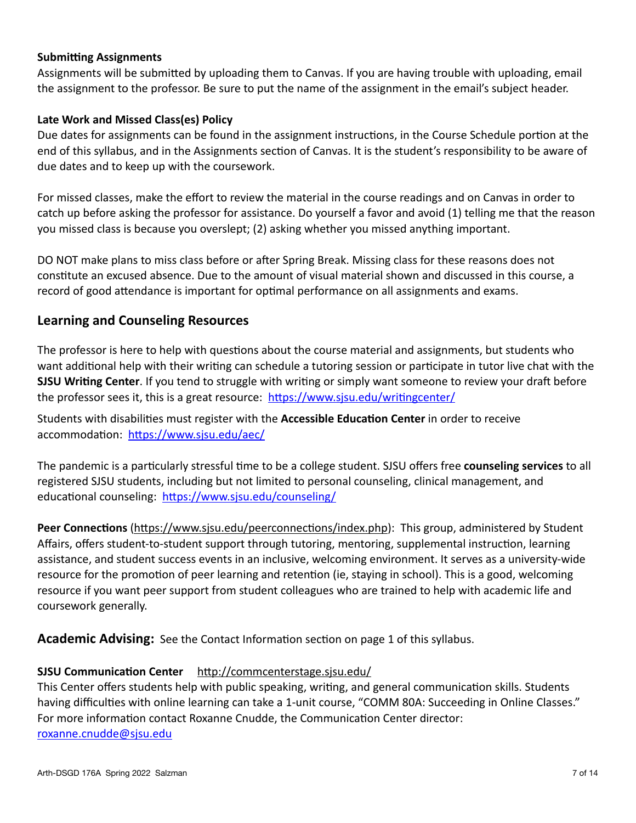#### **Submitting Assignments**

Assignments will be submitted by uploading them to Canvas. If you are having trouble with uploading, email the assignment to the professor. Be sure to put the name of the assignment in the email's subject header.

#### **Late Work and Missed Class(es) Policy**

Due dates for assignments can be found in the assignment instructions, in the Course Schedule portion at the end of this syllabus, and in the Assignments section of Canvas. It is the student's responsibility to be aware of due dates and to keep up with the coursework.

For missed classes, make the effort to review the material in the course readings and on Canvas in order to catch up before asking the professor for assistance. Do yourself a favor and avoid (1) telling me that the reason you missed class is because you overslept; (2) asking whether you missed anything important.

DO NOT make plans to miss class before or after Spring Break. Missing class for these reasons does not constitute an excused absence. Due to the amount of visual material shown and discussed in this course, a record of good attendance is important for optimal performance on all assignments and exams.

### **Learning and Counseling Resources**

The professor is here to help with questions about the course material and assignments, but students who want additional help with their writing can schedule a tutoring session or participate in tutor live chat with the **SJSU Writing Center**. If you tend to struggle with writing or simply want someone to review your draft before the professor sees it, this is a great resource: <https://www.sjsu.edu/writingcenter/>

Students with disabilities must register with the **Accessible Education Center** in order to receive accommodation: <https://www.sjsu.edu/aec/>

The pandemic is a particularly stressful time to be a college student. SJSU offers free **counseling services** to all registered SJSU students, including but not limited to personal counseling, clinical management, and educational counseling: <https://www.sjsu.edu/counseling/>

**Peer Connections** [\(https://www.sjsu.edu/peerconnections/index.php](https://www.sjsu.edu/peerconnections/index.php)): This group, administered by Student Affairs, offers student-to-student support through tutoring, mentoring, supplemental instruction, learning assistance, and student success events in an inclusive, welcoming environment. It serves as a university-wide resource for the promotion of peer learning and retention (ie, staying in school). This is a good, welcoming resource if you want peer support from student colleagues who are trained to help with academic life and coursework generally.

**Academic Advising:** See the Contact Information section on page 1 of this syllabus.

#### **SJSU Communication Center** <http://commcenterstage.sjsu.edu/>

This Center offers students help with public speaking, writing, and general communication skills. Students having difficulties with online learning can take a 1-unit course, "COMM 80A: Succeeding in Online Classes." For more information contact Roxanne Cnudde, the Communication Center director: [roxanne.cnudde@sjsu.edu](http://www.apple.com)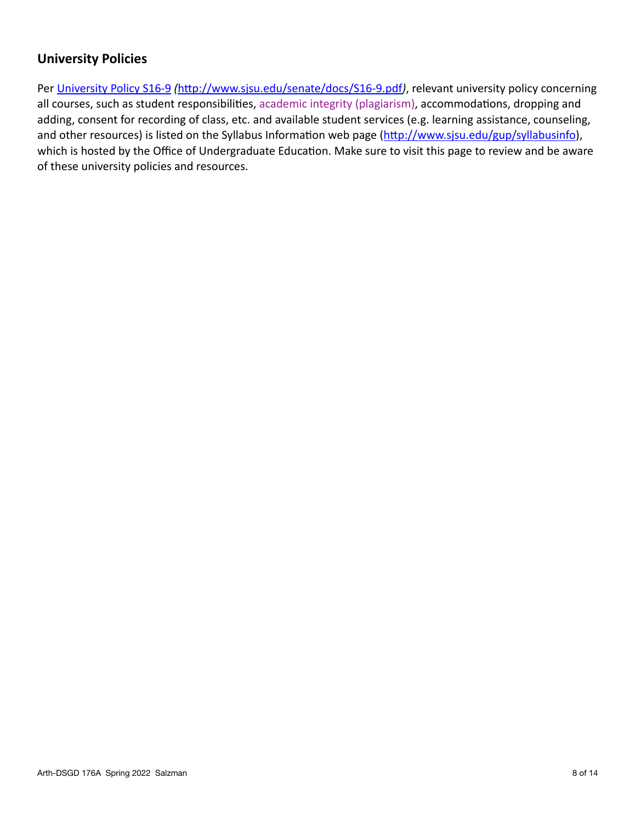### **University Policies**

Per [University Policy S16-9](http://www.sjsu.edu/senate/docs/S16-9.pdf) *(*<http://www.sjsu.edu/senate/docs/S16-9.pdf>*)*, relevant university policy concerning all courses, such as student responsibilities, academic integrity (plagiarism), accommodations, dropping and adding, consent for recording of class, etc. and available student services (e.g. learning assistance, counseling, and other resources) is listed on the [Syllabus Information web page](http://www.sjsu.edu/gup/syllabusinfo/) [\(http://www.sjsu.edu/gup/syllabusinfo](http://www.sjsu.edu/gup/syllabusinfo)), which is hosted by the Office of Undergraduate Education. Make sure to visit this page to review and be aware of these university policies and resources.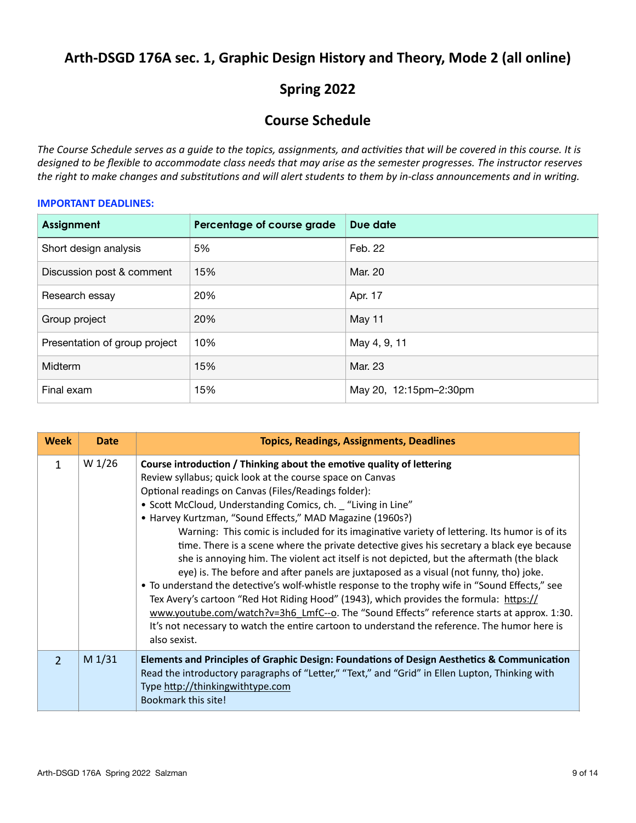## **Arth-DSGD 176A sec. 1, Graphic Design History and Theory, Mode 2 (all online)**

## **Spring 2022**

### **Course Schedule**

*The Course Schedule serves as a guide to the topics, assignments, and activities that will be covered in this course. It is designed to be flexible to accommodate class needs that may arise as the semester progresses. The instructor reserves the right to make changes and substitutions and will alert students to them by in-class announcements and in writing.*

#### **IMPORTANT DEADLINES:**

| Assignment                    | Percentage of course grade | Due date               |
|-------------------------------|----------------------------|------------------------|
| Short design analysis         | 5%                         | Feb. 22                |
| Discussion post & comment     | 15%                        | Mar. 20                |
| Research essay                | 20%                        | Apr. 17                |
| Group project                 | 20%                        | May 11                 |
| Presentation of group project | 10%                        | May 4, 9, 11           |
| Midterm                       | 15%                        | Mar. 23                |
| Final exam                    | 15%                        | May 20, 12:15pm-2:30pm |

| <b>Week</b>   | <b>Date</b>       | <b>Topics, Readings, Assignments, Deadlines</b>                                                                                                                                                                                                                                                                                                                                                                                                                                                                                                                                                                                                                                                                                                                                                                                                                                                                                                                                                                                                                                                                           |
|---------------|-------------------|---------------------------------------------------------------------------------------------------------------------------------------------------------------------------------------------------------------------------------------------------------------------------------------------------------------------------------------------------------------------------------------------------------------------------------------------------------------------------------------------------------------------------------------------------------------------------------------------------------------------------------------------------------------------------------------------------------------------------------------------------------------------------------------------------------------------------------------------------------------------------------------------------------------------------------------------------------------------------------------------------------------------------------------------------------------------------------------------------------------------------|
| $\mathbf{1}$  | W 1/26            | Course introduction / Thinking about the emotive quality of lettering<br>Review syllabus; quick look at the course space on Canvas<br>Optional readings on Canvas (Files/Readings folder):<br>• Scott McCloud, Understanding Comics, ch. "Living in Line"<br>• Harvey Kurtzman, "Sound Effects," MAD Magazine (1960s?)<br>Warning: This comic is included for its imaginative variety of lettering. Its humor is of its<br>time. There is a scene where the private detective gives his secretary a black eye because<br>she is annoying him. The violent act itself is not depicted, but the aftermath (the black<br>eye) is. The before and after panels are juxtaposed as a visual (not funny, tho) joke.<br>• To understand the detective's wolf-whistle response to the trophy wife in "Sound Effects," see<br>Tex Avery's cartoon "Red Hot Riding Hood" (1943), which provides the formula: https://<br>www.youtube.com/watch?v=3h6 LmfC--o. The "Sound Effects" reference starts at approx. 1:30.<br>It's not necessary to watch the entire cartoon to understand the reference. The humor here is<br>also sexist. |
| $\mathcal{P}$ | M <sub>1/31</sub> | Elements and Principles of Graphic Design: Foundations of Design Aesthetics & Communication<br>Read the introductory paragraphs of "Letter," "Text," and "Grid" in Ellen Lupton, Thinking with<br>Type http://thinkingwithtype.com<br>Bookmark this site!                                                                                                                                                                                                                                                                                                                                                                                                                                                                                                                                                                                                                                                                                                                                                                                                                                                                 |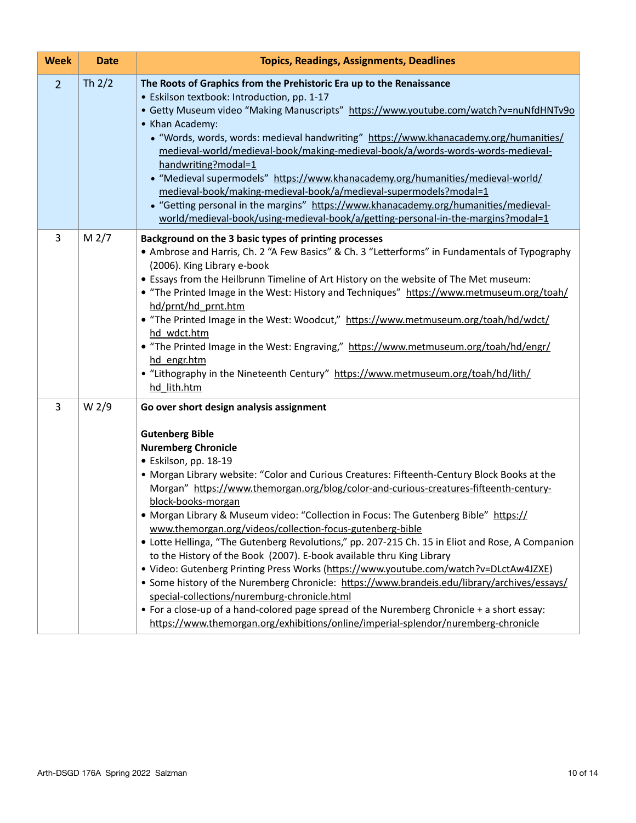| <b>Week</b>    | <b>Date</b>       | <b>Topics, Readings, Assignments, Deadlines</b>                                                                                                                                                                                                                                                                                                                                                                                                                                                                                                                                                                                                                                                                                                                                                                                                                                                                                                                                                                                                                                                         |
|----------------|-------------------|---------------------------------------------------------------------------------------------------------------------------------------------------------------------------------------------------------------------------------------------------------------------------------------------------------------------------------------------------------------------------------------------------------------------------------------------------------------------------------------------------------------------------------------------------------------------------------------------------------------------------------------------------------------------------------------------------------------------------------------------------------------------------------------------------------------------------------------------------------------------------------------------------------------------------------------------------------------------------------------------------------------------------------------------------------------------------------------------------------|
| 2 <sup>1</sup> | Th $2/2$          | The Roots of Graphics from the Prehistoric Era up to the Renaissance<br>• Eskilson textbook: Introduction, pp. 1-17<br>• Getty Museum video "Making Manuscripts" https://www.youtube.com/watch?v=nuNfdHNTv9o<br>• Khan Academy:<br>• "Words, words, words: medieval handwriting" https://www.khanacademy.org/humanities/<br>medieval-world/medieval-book/making-medieval-book/a/words-words-words-medieval-<br>handwriting?modal=1<br>• "Medieval supermodels" https://www.khanacademy.org/humanities/medieval-world/<br>medieval-book/making-medieval-book/a/medieval-supermodels?modal=1<br>• "Getting personal in the margins" https://www.khanacademy.org/humanities/medieval-<br>world/medieval-book/using-medieval-book/a/getting-personal-in-the-margins?modal=1                                                                                                                                                                                                                                                                                                                                 |
| 3              | M <sub>2</sub> /7 | Background on the 3 basic types of printing processes<br>• Ambrose and Harris, Ch. 2 "A Few Basics" & Ch. 3 "Letterforms" in Fundamentals of Typography<br>(2006). King Library e-book<br>. Essays from the Heilbrunn Timeline of Art History on the website of The Met museum:<br>• "The Printed Image in the West: History and Techniques" https://www.metmuseum.org/toah/<br>hd/prnt/hd prnt.htm<br>• "The Printed Image in the West: Woodcut," https://www.metmuseum.org/toah/hd/wdct/<br>hd wdct.htm<br>• "The Printed Image in the West: Engraving," https://www.metmuseum.org/toah/hd/engr/<br>hd engr.htm<br>• "Lithography in the Nineteenth Century" https://www.metmuseum.org/toah/hd/lith/<br>hd lith.htm                                                                                                                                                                                                                                                                                                                                                                                   |
| 3              | W <sub>2</sub> /9 | Go over short design analysis assignment<br><b>Gutenberg Bible</b><br><b>Nuremberg Chronicle</b><br>· Eskilson, pp. 18-19<br>• Morgan Library website: "Color and Curious Creatures: Fifteenth-Century Block Books at the<br>Morgan" https://www.themorgan.org/blog/color-and-curious-creatures-fifteenth-century-<br>block-books-morgan<br>• Morgan Library & Museum video: "Collection in Focus: The Gutenberg Bible" https://<br>www.themorgan.org/videos/collection-focus-gutenberg-bible<br>• Lotte Hellinga, "The Gutenberg Revolutions," pp. 207-215 Ch. 15 in Eliot and Rose, A Companion<br>to the History of the Book (2007). E-book available thru King Library<br>· Video: Gutenberg Printing Press Works (https://www.youtube.com/watch?v=DLctAw4JZXE)<br>• Some history of the Nuremberg Chronicle: https://www.brandeis.edu/library/archives/essays/<br>special-collections/nuremburg-chronicle.html<br>• For a close-up of a hand-colored page spread of the Nuremberg Chronicle + a short essay:<br>https://www.themorgan.org/exhibitions/online/imperial-splendor/nuremberg-chronicle |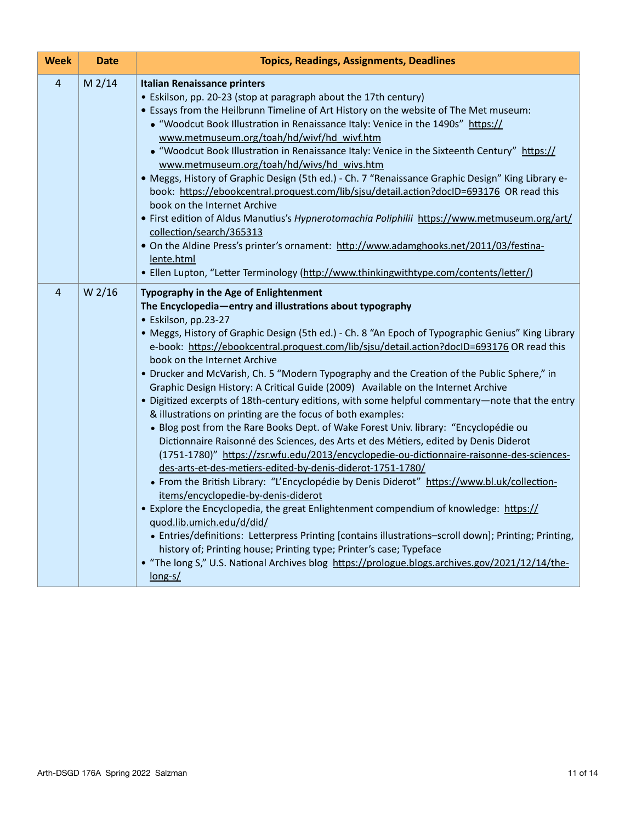| <b>Week</b>    | <b>Date</b> | <b>Topics, Readings, Assignments, Deadlines</b>                                                                                                                                                                                                                                                                                                                                                                                                                                                                                                                                                                                                                                                                                                                                                                                                                                                                                                                                                                                                                                                                                                                                                                                                                                                                                                                                                                                                                                                                                                                                                                              |
|----------------|-------------|------------------------------------------------------------------------------------------------------------------------------------------------------------------------------------------------------------------------------------------------------------------------------------------------------------------------------------------------------------------------------------------------------------------------------------------------------------------------------------------------------------------------------------------------------------------------------------------------------------------------------------------------------------------------------------------------------------------------------------------------------------------------------------------------------------------------------------------------------------------------------------------------------------------------------------------------------------------------------------------------------------------------------------------------------------------------------------------------------------------------------------------------------------------------------------------------------------------------------------------------------------------------------------------------------------------------------------------------------------------------------------------------------------------------------------------------------------------------------------------------------------------------------------------------------------------------------------------------------------------------------|
| $\overline{4}$ | $M$ 2/14    | <b>Italian Renaissance printers</b><br>• Eskilson, pp. 20-23 (stop at paragraph about the 17th century)<br>. Essays from the Heilbrunn Timeline of Art History on the website of The Met museum:<br>• "Woodcut Book Illustration in Renaissance Italy: Venice in the 1490s" https://<br>www.metmuseum.org/toah/hd/wivf/hd_wivf.htm<br>• "Woodcut Book Illustration in Renaissance Italy: Venice in the Sixteenth Century" https://<br>www.metmuseum.org/toah/hd/wivs/hd wivs.htm<br>. Meggs, History of Graphic Design (5th ed.) - Ch. 7 "Renaissance Graphic Design" King Library e-<br>book: https://ebookcentral.proquest.com/lib/sjsu/detail.action?docID=693176 OR read this<br>book on the Internet Archive<br>. First edition of Aldus Manutius's Hypnerotomachia Poliphilii https://www.metmuseum.org/art/<br>collection/search/365313<br>. On the Aldine Press's printer's ornament: http://www.adamghooks.net/2011/03/festina-<br>lente.html<br>· Ellen Lupton, "Letter Terminology (http://www.thinkingwithtype.com/contents/letter/)                                                                                                                                                                                                                                                                                                                                                                                                                                                                                                                                                                             |
| 4              | W 2/16      | Typography in the Age of Enlightenment<br>The Encyclopedia-entry and illustrations about typography<br>· Eskilson, pp.23-27<br>• Meggs, History of Graphic Design (5th ed.) - Ch. 8 "An Epoch of Typographic Genius" King Library<br>e-book: https://ebookcentral.proquest.com/lib/sjsu/detail.action?docID=693176 OR read this<br>book on the Internet Archive<br>• Drucker and McVarish, Ch. 5 "Modern Typography and the Creation of the Public Sphere," in<br>Graphic Design History: A Critical Guide (2009) Available on the Internet Archive<br>. Digitized excerpts of 18th-century editions, with some helpful commentary-note that the entry<br>& illustrations on printing are the focus of both examples:<br>. Blog post from the Rare Books Dept. of Wake Forest Univ. library: "Encyclopédie ou<br>Dictionnaire Raisonné des Sciences, des Arts et des Métiers, edited by Denis Diderot<br>(1751-1780)" https://zsr.wfu.edu/2013/encyclopedie-ou-dictionnaire-raisonne-des-sciences-<br>des-arts-et-des-metiers-edited-by-denis-diderot-1751-1780/<br>• From the British Library: "L'Encyclopédie by Denis Diderot" https://www.bl.uk/collection-<br>items/encyclopedie-by-denis-diderot<br>• Explore the Encyclopedia, the great Enlightenment compendium of knowledge: https://<br>quod.lib.umich.edu/d/did/<br>• Entries/definitions: Letterpress Printing [contains illustrations-scroll down]; Printing; Printing,<br>history of; Printing house; Printing type; Printer's case; Typeface<br>. "The long S," U.S. National Archives blog https://prologue.blogs.archives.gov/2021/12/14/the-<br>$long-s/$ |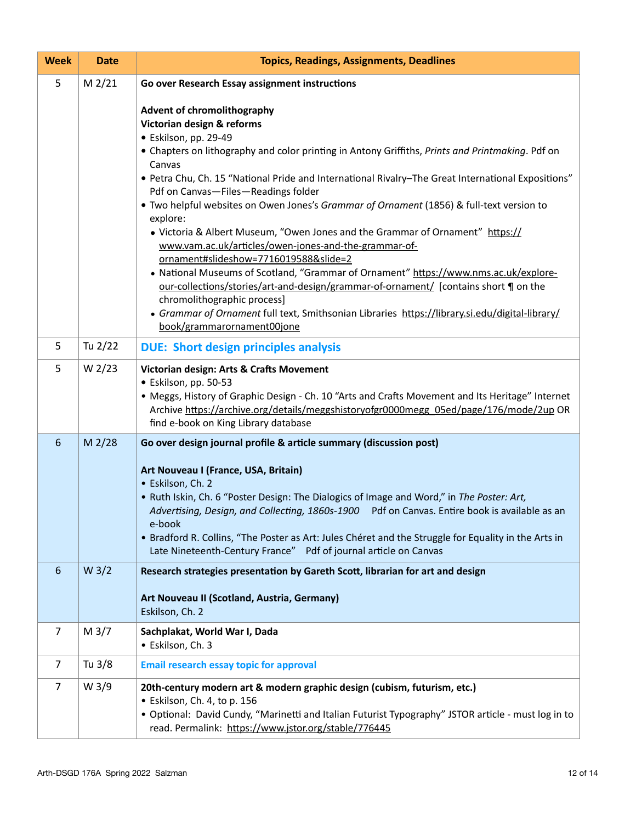| <b>Week</b>    | <b>Date</b>       | <b>Topics, Readings, Assignments, Deadlines</b>                                                                                                                                                                                                                                                                                                                                                                                                                                                                                                                                                                                                                                                                                                                                                                                                                                                                                                                                                |
|----------------|-------------------|------------------------------------------------------------------------------------------------------------------------------------------------------------------------------------------------------------------------------------------------------------------------------------------------------------------------------------------------------------------------------------------------------------------------------------------------------------------------------------------------------------------------------------------------------------------------------------------------------------------------------------------------------------------------------------------------------------------------------------------------------------------------------------------------------------------------------------------------------------------------------------------------------------------------------------------------------------------------------------------------|
| 5              | $M$ 2/21          | Go over Research Essay assignment instructions                                                                                                                                                                                                                                                                                                                                                                                                                                                                                                                                                                                                                                                                                                                                                                                                                                                                                                                                                 |
|                |                   | <b>Advent of chromolithography</b><br>Victorian design & reforms<br>· Eskilson, pp. 29-49<br>• Chapters on lithography and color printing in Antony Griffiths, Prints and Printmaking. Pdf on<br>Canvas<br>• Petra Chu, Ch. 15 "National Pride and International Rivalry-The Great International Expositions"<br>Pdf on Canvas-Files-Readings folder<br>. Two helpful websites on Owen Jones's Grammar of Ornament (1856) & full-text version to<br>explore:<br>• Victoria & Albert Museum, "Owen Jones and the Grammar of Ornament" https://<br>www.vam.ac.uk/articles/owen-jones-and-the-grammar-of-<br>ornament#slideshow=7716019588&slide=2<br>• National Museums of Scotland, "Grammar of Ornament" https://www.nms.ac.uk/explore-<br>our-collections/stories/art-and-design/grammar-of-ornament/ [contains short ] on the<br>chromolithographic process]<br>• Grammar of Ornament full text, Smithsonian Libraries https://library.si.edu/digital-library/<br>book/grammarornament00jone |
| 5              | Tu 2/22           | <b>DUE: Short design principles analysis</b>                                                                                                                                                                                                                                                                                                                                                                                                                                                                                                                                                                                                                                                                                                                                                                                                                                                                                                                                                   |
| 5              | W <sub>2/23</sub> | Victorian design: Arts & Crafts Movement<br>· Eskilson, pp. 50-53<br>• Meggs, History of Graphic Design - Ch. 10 "Arts and Crafts Movement and Its Heritage" Internet<br>Archive https://archive.org/details/meggshistoryofgr0000megg_05ed/page/176/mode/2up OR<br>find e-book on King Library database                                                                                                                                                                                                                                                                                                                                                                                                                                                                                                                                                                                                                                                                                        |
| 6              | $M$ 2/28          | Go over design journal profile & article summary (discussion post)<br>Art Nouveau I (France, USA, Britain)<br>· Eskilson, Ch. 2<br>. Ruth Iskin, Ch. 6 "Poster Design: The Dialogics of Image and Word," in The Poster: Art,<br>Advertising, Design, and Collecting, 1860s-1900 Pdf on Canvas. Entire book is available as an<br>e-book<br>• Bradford R. Collins, "The Poster as Art: Jules Chéret and the Struggle for Equality in the Arts in<br>Late Nineteenth-Century France" Pdf of journal article on Canvas                                                                                                                                                                                                                                                                                                                                                                                                                                                                            |
| 6              | W <sub>3/2</sub>  | Research strategies presentation by Gareth Scott, librarian for art and design<br>Art Nouveau II (Scotland, Austria, Germany)<br>Eskilson, Ch. 2                                                                                                                                                                                                                                                                                                                                                                                                                                                                                                                                                                                                                                                                                                                                                                                                                                               |
| $\overline{7}$ | M <sub>3</sub> /7 | Sachplakat, World War I, Dada<br>· Eskilson, Ch. 3                                                                                                                                                                                                                                                                                                                                                                                                                                                                                                                                                                                                                                                                                                                                                                                                                                                                                                                                             |
| $\overline{7}$ | Tu 3/8            | <b>Email research essay topic for approval</b>                                                                                                                                                                                                                                                                                                                                                                                                                                                                                                                                                                                                                                                                                                                                                                                                                                                                                                                                                 |
| $\overline{7}$ | W <sub>3/9</sub>  | 20th-century modern art & modern graphic design (cubism, futurism, etc.)<br>· Eskilson, Ch. 4, to p. 156<br>· Optional: David Cundy, "Marinetti and Italian Futurist Typography" JSTOR article - must log in to<br>read. Permalink: https://www.jstor.org/stable/776445                                                                                                                                                                                                                                                                                                                                                                                                                                                                                                                                                                                                                                                                                                                        |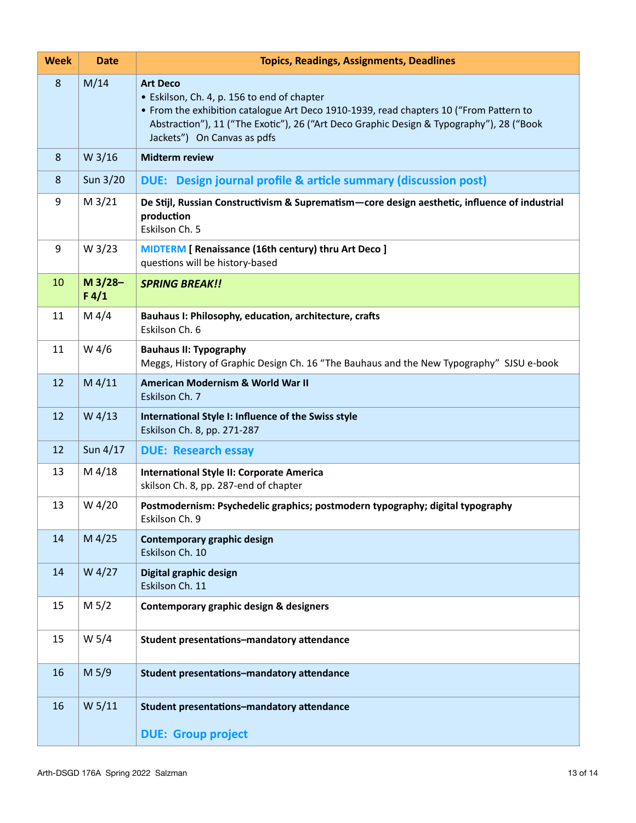| <b>Week</b> | <b>Date</b>        | <b>Topics, Readings, Assignments, Deadlines</b>                                                                                                                                                                                                                                     |
|-------------|--------------------|-------------------------------------------------------------------------------------------------------------------------------------------------------------------------------------------------------------------------------------------------------------------------------------|
| 8           | M/14               | <b>Art Deco</b><br>• Eskilson, Ch. 4, p. 156 to end of chapter<br>• From the exhibition catalogue Art Deco 1910-1939, read chapters 10 ("From Pattern to<br>Abstraction"), 11 ("The Exotic"), 26 ("Art Deco Graphic Design & Typography"), 28 ("Book<br>Jackets") On Canvas as pdfs |
| 8           | W <sub>3/16</sub>  | <b>Midterm review</b>                                                                                                                                                                                                                                                               |
| 8           | Sun $3/20$         | DUE: Design journal profile & article summary (discussion post)                                                                                                                                                                                                                     |
| 9           | M <sub>3</sub> /21 | De Stijl, Russian Constructivism & Suprematism-core design aesthetic, influence of industrial<br>production<br>Eskilson Ch. 5                                                                                                                                                       |
| 9           | W 3/23             | <b>MIDTERM</b> [ Renaissance (16th century) thru Art Deco ]<br>questions will be history-based                                                                                                                                                                                      |
| 10          | $M$ 3/28-<br>F 4/1 | <b>SPRING BREAK!!</b>                                                                                                                                                                                                                                                               |
| 11          | M $4/4$            | Bauhaus I: Philosophy, education, architecture, crafts<br>Eskilson Ch. 6                                                                                                                                                                                                            |
| 11          | W 4/6              | <b>Bauhaus II: Typography</b><br>Meggs, History of Graphic Design Ch. 16 "The Bauhaus and the New Typography" SJSU e-book                                                                                                                                                           |
| 12          | $M$ 4/11           | American Modernism & World War II<br>Eskilson Ch. 7                                                                                                                                                                                                                                 |
| 12          | $W$ 4/13           | International Style I: Influence of the Swiss style<br>Eskilson Ch. 8, pp. 271-287                                                                                                                                                                                                  |
| 12          | Sun 4/17           | <b>DUE: Research essay</b>                                                                                                                                                                                                                                                          |
| 13          | M 4/18             | International Style II: Corporate America<br>skilson Ch. 8, pp. 287-end of chapter                                                                                                                                                                                                  |
| 13          | W 4/20             | Postmodernism: Psychedelic graphics; postmodern typography; digital typography<br>Eskilson Ch. 9                                                                                                                                                                                    |
| 14          | $M$ 4/25           | Contemporary graphic design<br>Eskilson Ch. 10                                                                                                                                                                                                                                      |
| 14          | W 4/27             | Digital graphic design<br>Eskilson Ch. 11                                                                                                                                                                                                                                           |
| 15          | M 5/2              | Contemporary graphic design & designers                                                                                                                                                                                                                                             |
| 15          | W 5/4              | Student presentations-mandatory attendance                                                                                                                                                                                                                                          |
| 16          | M 5/9              | Student presentations-mandatory attendance                                                                                                                                                                                                                                          |
| 16          | W 5/11             | Student presentations-mandatory attendance                                                                                                                                                                                                                                          |
|             |                    | <b>DUE: Group project</b>                                                                                                                                                                                                                                                           |